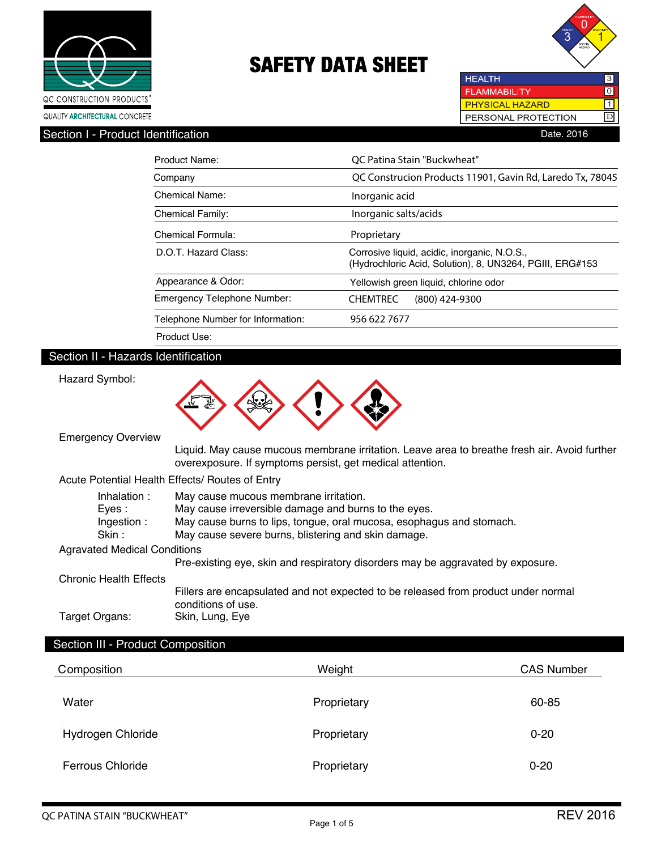



**HEALTH** 3 **FLAMMABILITY**  $\overline{\text{tol}}$ PHYSICAL HAZARD  $\Box$ PERSONAL PROTECTION D

# Section I - Product Identification **Date. 2016**

| Product Name:                     | OC Patina Stain "Buckwheat"                                                                              |
|-----------------------------------|----------------------------------------------------------------------------------------------------------|
| Company                           | QC Construcion Products 11901, Gavin Rd, Laredo Tx, 78045                                                |
| Chemical Name:                    | Inorganic acid                                                                                           |
| <b>Chemical Family:</b>           | Inorganic salts/acids                                                                                    |
| Chemical Formula:                 | Proprietary                                                                                              |
| D.O.T. Hazard Class:              | Corrosive liquid, acidic, inorganic, N.O.S.,<br>(Hydrochloric Acid, Solution), 8, UN3264, PGIII, ERG#153 |
| Appearance & Odor:                | Yellowish green liquid, chlorine odor                                                                    |
| Emergency Telephone Number:       | <b>CHEMTREC</b><br>$(800)$ 424-9300                                                                      |
| Telephone Number for Information: | 956 622 7677                                                                                             |
| Product Use:                      |                                                                                                          |

# Section II - Hazards Identification

Hazard Symbol:



Emergency Overview

 Liquid. May cause mucous membrane irritation. Leave area to breathe fresh air. Avoid further overexposure. If symptoms persist, get medical attention.

### Acute Potential Health Effects/ Routes of Entry

| Inhalation:                         | May cause mucous membrane irritation.                                                                    |
|-------------------------------------|----------------------------------------------------------------------------------------------------------|
| Eves :                              | May cause irreversible damage and burns to the eyes.                                                     |
| Ingestion:                          | May cause burns to lips, tongue, oral mucosa, esophagus and stomach.                                     |
| Skin :                              | May cause severe burns, blistering and skin damage.                                                      |
| <b>Agravated Medical Conditions</b> |                                                                                                          |
|                                     | Pre-existing eye, skin and respiratory disorders may be aggravated by exposure.                          |
| Chronic Health Effects              |                                                                                                          |
|                                     | Fillers are encapsulated and not expected to be released from product under normal<br>conditions of use. |
| Target Organs:                      | Skin, Lung, Eye                                                                                          |

### Section III - Product Composition

| Composition             | Weight      | <b>CAS Number</b> |
|-------------------------|-------------|-------------------|
| Water                   | Proprietary | 60-85             |
| Hydrogen Chloride       | Proprietary | $0 - 20$          |
| <b>Ferrous Chloride</b> | Proprietary | $0 - 20$          |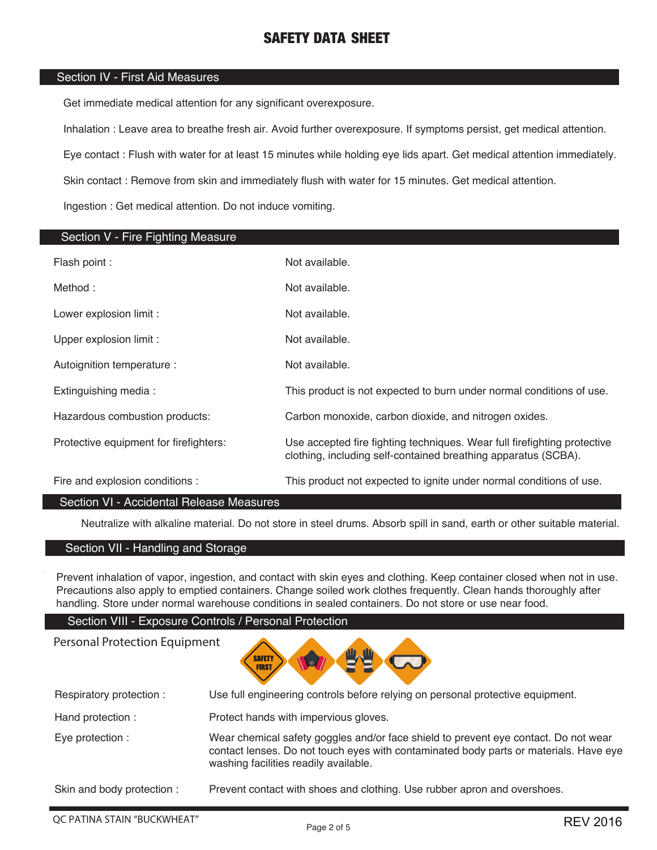# Section IV - First Aid Measures

Get immediate medical attention for any significant overexposure.

Inhalation : Leave area to breathe fresh air. Avoid further overexposure. If symptoms persist, get medical attention.

Eye contact : Flush with water for at least 15 minutes while holding eye lids apart. Get medical attention immediately.

Skin contact : Remove from skin and immediately flush with water for 15 minutes. Get medical attention.

Ingestion : Get medical attention. Do not induce vomiting.

| Section V - Fire Fighting Measure      |                                                                                                                                            |
|----------------------------------------|--------------------------------------------------------------------------------------------------------------------------------------------|
| Flash point :                          | Not available.                                                                                                                             |
| Method:                                | Not available.                                                                                                                             |
| Lower explosion limit :                | Not available.                                                                                                                             |
| Upper explosion limit :                | Not available.                                                                                                                             |
| Autoignition temperature :             | Not available.                                                                                                                             |
| Extinguishing media:                   | This product is not expected to burn under normal conditions of use.                                                                       |
| Hazardous combustion products:         | Carbon monoxide, carbon dioxide, and nitrogen oxides.                                                                                      |
| Protective equipment for firefighters: | Use accepted fire fighting techniques. Wear full firefighting protective<br>clothing, including self-contained breathing apparatus (SCBA). |
| Fire and explosion conditions :        | This product not expected to ignite under normal conditions of use.                                                                        |
| _ _ _ _ _ _ _ _ _ _ _ _ _<br>- -       |                                                                                                                                            |

# Section VI - Accidental Release Measures

Neutralize with alkaline material. Do not store in steel drums. Absorb spill in sand, earth or other suitable material.

## Section VII - Handling and Storage

Personal Protection Equipment

Prevent inhalation of vapor, ingestion, and contact with skin eyes and clothing. Keep container closed when not in use. Precautions also apply to emptied containers. Change soiled work clothes frequently. Clean hands thoroughly after handling. Store under normal warehouse conditions in sealed containers. Do not store or use near food.

Section VIII - Exposure Controls / Personal Protection

**SAFETY FIRST** 

| Respiratory protection:   | Use full engineering controls before relying on personal protective equipment.                                                                                                                                        |
|---------------------------|-----------------------------------------------------------------------------------------------------------------------------------------------------------------------------------------------------------------------|
| Hand protection :         | Protect hands with impervious gloves.                                                                                                                                                                                 |
| Eye protection :          | Wear chemical safety goggles and/or face shield to prevent eye contact. Do not wear<br>contact lenses. Do not touch eyes with contaminated body parts or materials. Have eye<br>washing facilities readily available. |
| Skin and body protection: | Prevent contact with shoes and clothing. Use rubber apron and overshoes.                                                                                                                                              |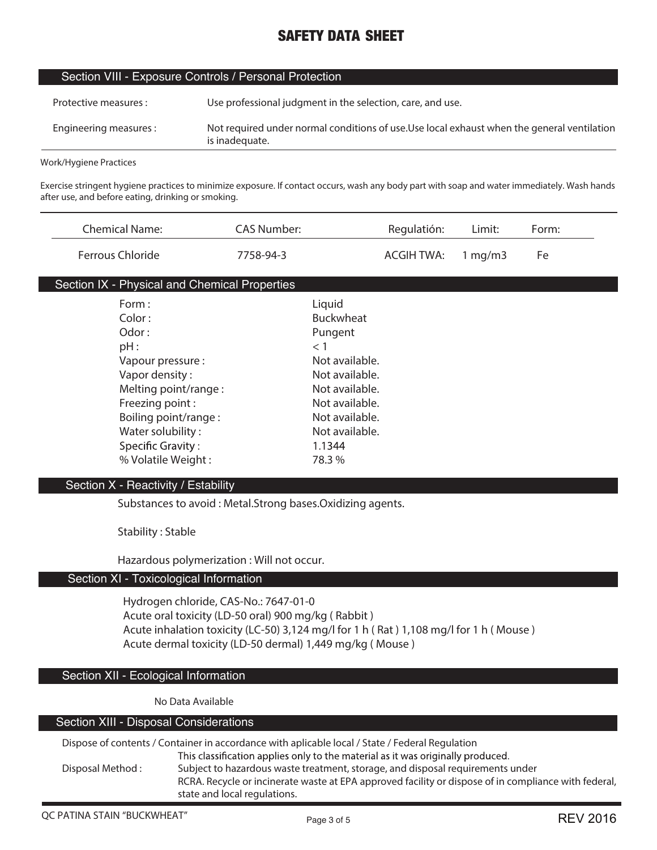| Section VIII - Exposure Controls / Personal Protection |                                                                                                               |  |
|--------------------------------------------------------|---------------------------------------------------------------------------------------------------------------|--|
| Protective measures :                                  | Use professional judgment in the selection, care, and use.                                                    |  |
| Engineering measures:                                  | Not required under normal conditions of use. Use local exhaust when the general ventilation<br>is inadequate. |  |

**Work/Hygiene Practices**

**Exercise stringent hygiene practices to minimize exposure. If contact occurs, wash any body part with soap and water immediately. Wash hands after use, and before eating, drinking or smoking.**

| <b>Chemical Name:</b>                         | <b>CAS Number:</b> |                  | Regulatión:       | Limit:  | Form: |
|-----------------------------------------------|--------------------|------------------|-------------------|---------|-------|
| Ferrous Chloride                              | 7758-94-3          |                  | <b>ACGIH TWA:</b> | 1 mg/m3 | Fe    |
| Section IX - Physical and Chemical Properties |                    |                  |                   |         |       |
| Form:                                         |                    | Liquid           |                   |         |       |
| Color:                                        |                    | <b>Buckwheat</b> |                   |         |       |
| Odor:                                         |                    | Pungent          |                   |         |       |
| pH:                                           |                    | $<$ 1            |                   |         |       |
| Vapour pressure :                             |                    | Not available.   |                   |         |       |
| Vapor density:                                |                    | Not available.   |                   |         |       |
| Melting point/range:                          |                    | Not available.   |                   |         |       |
| Freezing point:                               |                    | Not available.   |                   |         |       |
| Boiling point/range:                          |                    | Not available.   |                   |         |       |
| Water solubility:                             |                    | Not available.   |                   |         |       |
| <b>Specific Gravity:</b>                      |                    | 1.1344           |                   |         |       |
| % Volatile Weight:                            |                    | 78.3 %           |                   |         |       |
| Section X - Reactivity / Estability           |                    |                  |                   |         |       |

**Substances to avoid : Metal.Strong bases.Oxidizing agents.**

**Stability : Stable**

**Hazardous polymerization : Will not occur.**

# Section XI - Toxicological Information

**Hydrogen chloride, CAS-No.: 7647-01-0 Acute oral toxicity (LD-50 oral) 900 mg/kg ( Rabbit ) Acute inhalation toxicity (LC-50) 3,124 mg/l for 1 h ( Rat ) 1,108 mg/l for 1 h ( Mouse ) Acute dermal toxicity (LD-50 dermal) 1,449 mg/kg ( Mouse )**

#### Section XII - Ecological Information

**No Data Available**

#### Section XIII - Disposal Considerations

**Dispose of contents / Container in accordance with aplicable local / State / Federal Regulation** This classification applies only to the material as it was originally produced. **Disposal Method : Subject to hazardous waste treatment, storage, and disposal requirements under RCRA. Recycle or incinerate waste at EPA approved facility or dispose of in compliance with federal, state and local regulations.**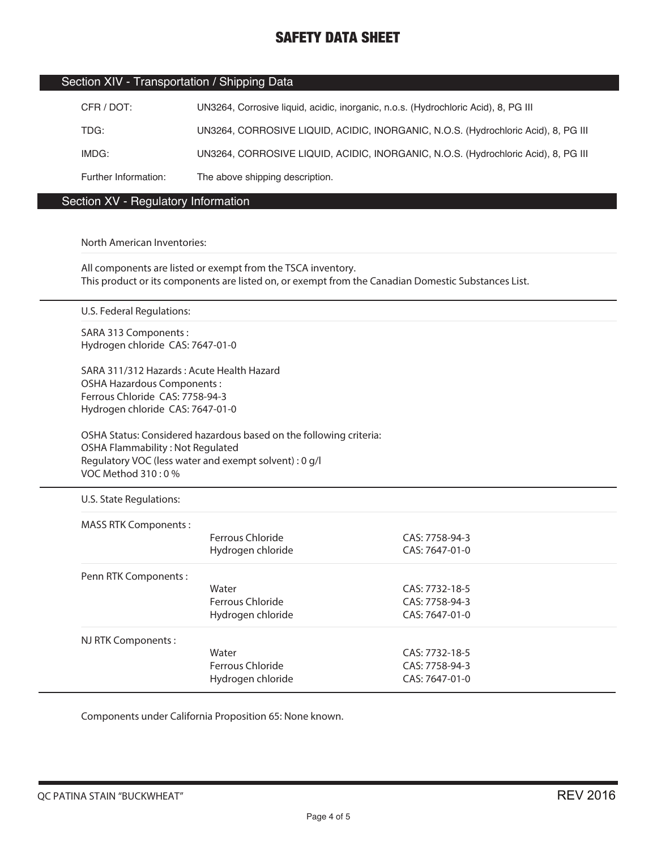## Section XIV - Transportation / Shipping Data

| CFR / DOT:           | UN3264, Corrosive liquid, acidic, inorganic, n.o.s. (Hydrochloric Acid), 8, PG III |
|----------------------|------------------------------------------------------------------------------------|
| TDG:                 | UN3264, CORROSIVE LIQUID, ACIDIC, INORGANIC, N.O.S. (Hydrochloric Acid), 8, PG III |
| IMDG:                | UN3264, CORROSIVE LIQUID, ACIDIC, INORGANIC, N.O.S. (Hydrochloric Acid), 8, PG III |
| Further Information: | The above shipping description.                                                    |

# Section XV - Regulatory Information

### **North American Inventories:**

**All components are listed or exempt from the TSCA inventory. This product or its components are listed on, or exempt from the Canadian Domestic Substances List.**

**U.S. Federal Regulations:**

**SARA 313 Components : Hydrogen chloride CAS: 7647-01-0**

**SARA 311/312 Hazards : Acute Health Hazard OSHA Hazardous Components : Ferrous Chloride CAS: 7758-94-3 Hydrogen chloride CAS: 7647-01-0**

**OSHA Status: Considered hazardous based on the following criteria: OSHA Flammability : Not Regulated Regulatory VOC (less water and exempt solvent) : 0 g/l VOC Method 310 : 0 %**

**U.S. State Regulations:**

| MASS RTK Components: |                   |                |  |
|----------------------|-------------------|----------------|--|
|                      | Ferrous Chloride  | CAS: 7758-94-3 |  |
|                      | Hydrogen chloride | CAS: 7647-01-0 |  |
| Penn RTK Components: |                   |                |  |
|                      | Water             | CAS: 7732-18-5 |  |
|                      | Ferrous Chloride  | CAS: 7758-94-3 |  |
|                      | Hydrogen chloride | CAS: 7647-01-0 |  |
| NJ RTK Components:   |                   |                |  |
|                      | Water             | CAS: 7732-18-5 |  |
|                      | Ferrous Chloride  | CAS: 7758-94-3 |  |
|                      | Hydrogen chloride | CAS: 7647-01-0 |  |

**Components under California Proposition 65: None known.**